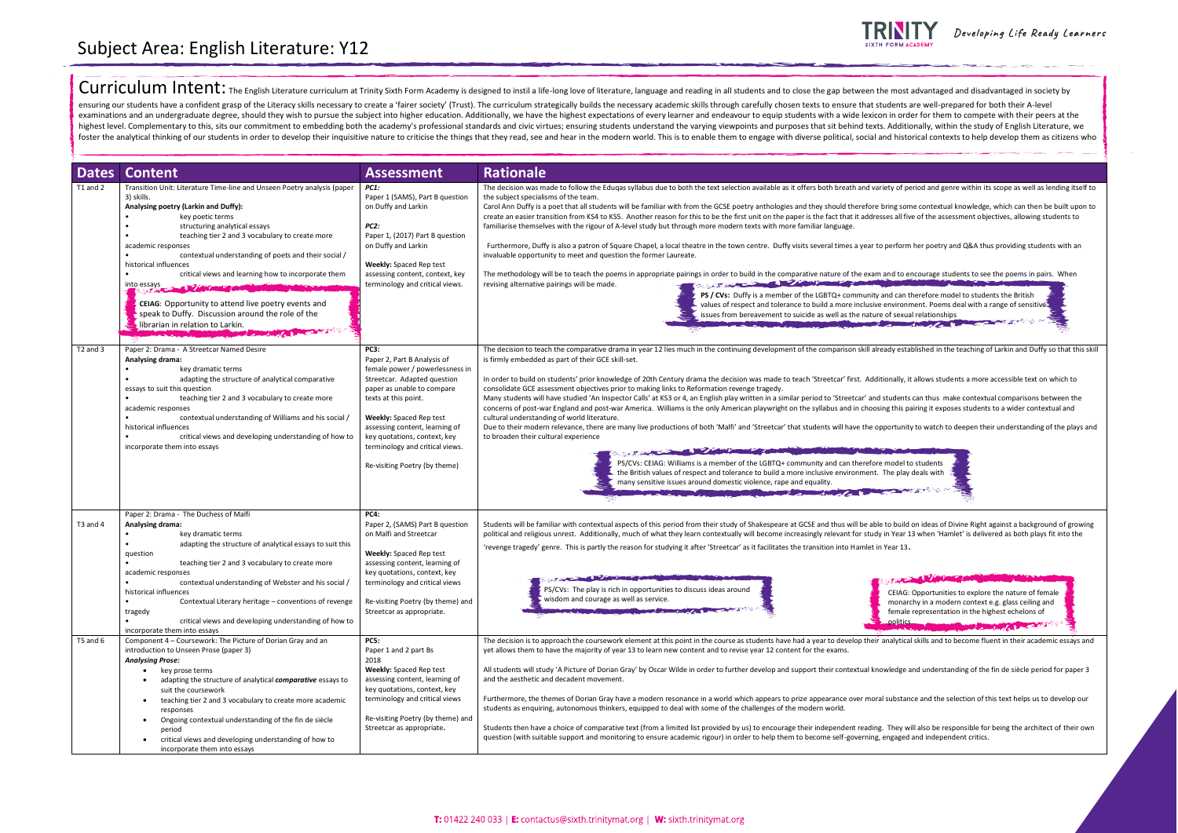

| <b>Dates</b>             | <b>Content</b>                                                                                                                                                                                                                                                                                                                                                                                                                                                                                                                                                                                                                                                                                                                                                                                                        | <b>Assessment</b>                                                                                                                                                                                                                                                                                                                          | <b>Rationale</b>                                                                                                                                                                                                                                                                                                                                                                                                                                                                                                                                                                                                                                                                                                                                                                                                                                                                                                                                                                                                                                                                                                                                                                                                                                                                                                                                                                                                                                  |
|--------------------------|-----------------------------------------------------------------------------------------------------------------------------------------------------------------------------------------------------------------------------------------------------------------------------------------------------------------------------------------------------------------------------------------------------------------------------------------------------------------------------------------------------------------------------------------------------------------------------------------------------------------------------------------------------------------------------------------------------------------------------------------------------------------------------------------------------------------------|--------------------------------------------------------------------------------------------------------------------------------------------------------------------------------------------------------------------------------------------------------------------------------------------------------------------------------------------|---------------------------------------------------------------------------------------------------------------------------------------------------------------------------------------------------------------------------------------------------------------------------------------------------------------------------------------------------------------------------------------------------------------------------------------------------------------------------------------------------------------------------------------------------------------------------------------------------------------------------------------------------------------------------------------------------------------------------------------------------------------------------------------------------------------------------------------------------------------------------------------------------------------------------------------------------------------------------------------------------------------------------------------------------------------------------------------------------------------------------------------------------------------------------------------------------------------------------------------------------------------------------------------------------------------------------------------------------------------------------------------------------------------------------------------------------|
| T1 and 2                 | Transition Unit: Literature Time-line and Unseen Poetry analysis (paper<br>3) skills.<br>Analysing poetry (Larkin and Duffy):<br>key poetic terms<br>structuring analytical essays<br>teaching tier 2 and 3 vocabulary to create more<br>academic responses<br>contextual understanding of poets and their social /<br>historical influences<br>critical views and learning how to incorporate them<br>into essays and the company of the company of the company of the company of the company of the company of the company of the company of the company of the company of the company of the company of the company of the company<br>CEIAG: Opportunity to attend live poetry events and<br>speak to Duffy. Discussion around the role of the<br>librarian in relation to Larkin.<br><b>POPULATION CONTINUES.</b> | <b>PC1:</b><br>Paper 1 (SAMS), Part B question<br>on Duffy and Larkin<br>PC2:<br>Paper 1, (2017) Part B question<br>on Duffy and Larkin<br><b>Weekly:</b> Spaced Rep test<br>assessing content, context, key<br>terminology and critical views.                                                                                            | The decision was made to follow the Edugas syllabus due to both the text selection available as it offers both breath and variety of po<br>the subject specialisms of the team.<br>Carol Ann Duffy is a poet that all students will be familiar with from the GCSE poetry anthologies and they should therefore bring son<br>create an easier transition from KS4 to KS5. Another reason for this to be the first unit on the paper is the fact that it addresses all fiv<br>familiarise themselves with the rigour of A-level study but through more modern texts with more familiar language.<br>Furthermore, Duffy is also a patron of Square Chapel, a local theatre in the town centre. Duffy visits several times a year to perform<br>invaluable opportunity to meet and question the former Laureate.<br>The methodology will be to teach the poems in appropriate pairings in order to build in the comparative nature of the exam and to e<br>The State of the Company of the Company of the Company of the Company of the Company of the Company of the Company of the Company of the Company of the Company of the Company of the Company of the Company of the Company of<br>revising alternative pairings will be made.<br>PS / CVs: Duffy is a member of the LGBTQ+ community and can t<br>values of respect and tolerance to build a more inclusive environr<br>issues from bereavement to suicide as well as the nature of sexua |
| T <sub>2</sub> and 3     | Paper 2: Drama - A Streetcar Named Desire<br>Analysing drama:<br>key dramatic terms<br>adapting the structure of analytical comparative<br>essays to suit this question<br>teaching tier 2 and 3 vocabulary to create more<br>academic responses<br>contextual understanding of Williams and his social /<br>historical influences<br>critical views and developing understanding of how to<br>incorporate them into essays                                                                                                                                                                                                                                                                                                                                                                                           | <b>PC3:</b><br>Paper 2, Part B Analysis of<br>female power / powerlessness in<br>Streetcar. Adapted question<br>paper as unable to compare<br>texts at this point.<br><b>Weekly:</b> Spaced Rep test<br>assessing content, learning of<br>key quotations, context, key<br>terminology and critical views.<br>Re-visiting Poetry (by theme) | The decision to teach the comparative drama in year 12 lies much in the continuing development of the comparison skill already esta<br>is firmly embedded as part of their GCE skill-set.<br>In order to build on students' prior knowledge of 20th Century drama the decision was made to teach 'Streetcar' first. Additionally, i<br>consolidate GCE assessment objectives prior to making links to Reformation revenge tragedy.<br>Many students will have studied 'An Inspector Calls' at KS3 or 4, an English play written in a similar period to 'Streetcar' and students<br>concerns of post-war England and post-war America. Williams is the only American playwright on the syllabus and in choosing this p<br>cultural understanding of world literature.<br>Due to their modern relevance, there are many live productions of both 'Malfi' and 'Streetcar' that students will have the opportunit<br>to broaden their cultural experience<br><b>CONTRACTOR</b> CONTRACTOR<br>PS/CVs: CEIAG: Williams is a member of the LGBTQ+ community and can therefore model t<br>the British values of respect and tolerance to build a more inclusive environment. The play<br>many sensitive issues around domestic violence, rape and equality.<br><b>REGISTER AND REGISTER AND REGISTER AND REGISTER AND REGISTER AND REGISTER AND REGISTER AND REGISTER AND REGISTER</b>                                                                    |
| $T3$ and $4$<br>T5 and 6 | Paper 2: Drama - The Duchess of Malfi<br>Analysing drama:<br>key dramatic terms<br>adapting the structure of analytical essays to suit this<br>question<br>teaching tier 2 and 3 vocabulary to create more<br>academic responses<br>contextual understanding of Webster and his social /<br>historical influences<br>Contextual Literary heritage - conventions of revenge<br>tragedy<br>critical views and developing understanding of how to<br>٠<br>incorporate them into essays<br>Component 4 - Coursework: The Picture of Dorian Gray and an                                                                                                                                                                                                                                                                    | <b>PC4:</b><br>Paper 2, (SAMS) Part B question<br>on Malfi and Streetcar<br><b>Weekly: Spaced Rep test</b><br>assessing content, learning of<br>key quotations, context, key<br>terminology and critical views<br>Re-visiting Poetry (by theme) and<br>Streetcar as appropriate.<br><b>PC5:</b>                                            | Students will be familiar with contextual aspects of this period from their study of Shakespeare at GCSE and thus will be able to build<br>political and religious unrest. Additionally, much of what they learn contextually will become increasingly relevant for study in Year 1<br>'revenge tragedy' genre. This is partly the reason for studying it after 'Streetcar' as it facilitates the transition into Hamlet in Year 13.<br>فتعالين<br>PS/CVs: The play is rich in opportunities to discuss ideas around<br>CEIAG:<br>wisdom and courage as well as service.<br>monar<br>female<br>politics<br>The decision is to approach the coursework element at this point in the course as students have had a year to develop their analytica                                                                                                                                                                                                                                                                                                                                                                                                                                                                                                                                                                                                                                                                                                  |
|                          | introduction to Unseen Prose (paper 3)<br><b>Analysing Prose:</b><br>key prose terms<br>adapting the structure of analytical comparative essays to<br>suit the coursework<br>teaching tier 2 and 3 vocabulary to create more academic<br>responses<br>Ongoing contextual understanding of the fin de siècle<br>$\bullet$<br>period<br>critical views and developing understanding of how to<br>٠<br>incorporate them into essays                                                                                                                                                                                                                                                                                                                                                                                      | Paper 1 and 2 part Bs<br>2018<br><b>Weekly:</b> Spaced Rep test<br>assessing content, learning of<br>key quotations, context, key<br>terminology and critical views<br>Re-visiting Poetry (by theme) and<br>Streetcar as appropriate.                                                                                                      | yet allows them to have the majority of year 13 to learn new content and to revise year 12 content for the exams.<br>All students will study 'A Picture of Dorian Gray' by Oscar Wilde in order to further develop and support their contextual knowledge a<br>and the aesthetic and decadent movement.<br>Furthermore, the themes of Dorian Gray have a modern resonance in a world which appears to prize appearance over moral substan<br>students as enquiring, autonomous thinkers, equipped to deal with some of the challenges of the modern world.<br>Students then have a choice of comparative text (from a limited list provided by us) to encourage their independent reading. They w<br>question (with suitable support and monitoring to ensure academic rigour) in order to help them to become self-governing, engaged                                                                                                                                                                                                                                                                                                                                                                                                                                                                                                                                                                                                            |



Developing Life Ready Learners



## Curriculum Intent: The English Literature curriculum at Trinity Sixth Form Academy is designed to instil a life-long love of literature, language and reading in all students and to close the gap between the most advantaged ensuring our students have a confident grasp of the Literacy skills necessary to create a 'fairer society' (Trust). The curriculum strategically builds the necessary academic skills through carefully chosen texts to ensure examinations and an undergraduate degree, should they wish to pursue the subject into higher education. Additionally, we have the highest expectations of every learner and endeavour to equip students with a wide lexicon in highest level. Complementary to this, sits our commitment to embedding both the academy's professional standards and civic virtues; ensuring students understand the varying viewpoints and purposes that sit behind texts. Ad foster the analytical thinking of our students in order to develop their inquisitive nature to criticise the things that they read, see and hear in the modern world. This is to enable them to engage with diverse political,